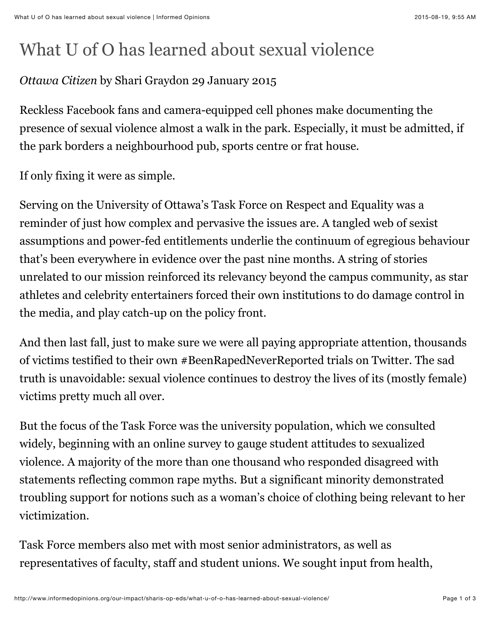## What U of O has learned about sexual violence

## *Ottawa Citizen* by Shari Graydon 29 January 2015

Reckless Facebook fans and camera-equipped cell phones make documenting the presence of sexual violence almost a walk in the park. Especially, it must be admitted, if the park borders a neighbourhood pub, sports centre or frat house.

If only fixing it were as simple.

Serving on the University of Ottawa's Task Force on Respect and Equality was a reminder of just how complex and pervasive the issues are. A tangled web of sexist assumptions and power-fed entitlements underlie the continuum of egregious behaviour that's been everywhere in evidence over the past nine months. A string of stories unrelated to our mission reinforced its relevancy beyond the campus community, as star athletes and celebrity entertainers forced their own institutions to do damage control in the media, and play catch-up on the policy front.

And then last fall, just to make sure we were all paying appropriate attention, thousands of victims testified to their own #BeenRapedNeverReported trials on Twitter. The sad truth is unavoidable: sexual violence continues to destroy the lives of its (mostly female) victims pretty much all over.

But the focus of the Task Force was the university population, which we consulted widely, beginning with an online survey to gauge student attitudes to sexualized violence. A majority of the more than one thousand who responded disagreed with statements reflecting common rape myths. But a significant minority demonstrated troubling support for notions such as a woman's choice of clothing being relevant to her victimization.

Task Force members also met with most senior administrators, as well as representatives of faculty, staff and student unions. We sought input from health,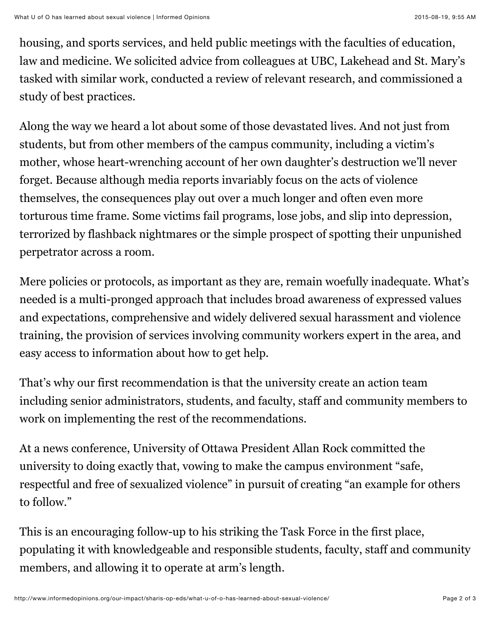housing, and sports services, and held public meetings with the faculties of education, law and medicine. We solicited advice from colleagues at UBC, Lakehead and St. Mary's tasked with similar work, conducted a review of relevant research, and commissioned a study of best practices.

Along the way we heard a lot about some of those devastated lives. And not just from students, but from other members of the campus community, including a victim's mother, whose heart-wrenching account of her own daughter's destruction we'll never forget. Because although media reports invariably focus on the acts of violence themselves, the consequences play out over a much longer and often even more torturous time frame. Some victims fail programs, lose jobs, and slip into depression, terrorized by flashback nightmares or the simple prospect of spotting their unpunished perpetrator across a room.

Mere policies or protocols, as important as they are, remain woefully inadequate. What's needed is a multi-pronged approach that includes broad awareness of expressed values and expectations, comprehensive and widely delivered sexual harassment and violence training, the provision of services involving community workers expert in the area, and easy access to information about how to get help.

That's why our first recommendation is that the university create an action team including senior administrators, students, and faculty, staff and community members to work on implementing the rest of the recommendations.

At a news conference, University of Ottawa President Allan Rock committed the university to doing exactly that, vowing to make the campus environment "safe, respectful and free of sexualized violence" in pursuit of creating "an example for others to follow."

This is an encouraging follow-up to his striking the Task Force in the first place, populating it with knowledgeable and responsible students, faculty, staff and community members, and allowing it to operate at arm's length.